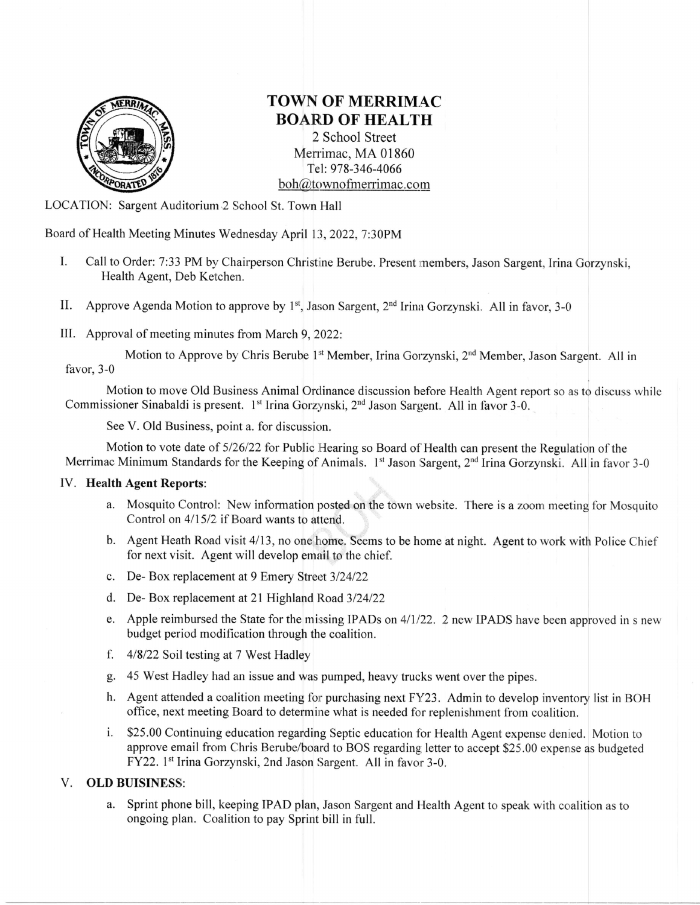

# TOWN OF MERRIMAC **BOARD OF HEALTH**

2 School Street Merrimac, MA 01860 Tel: 978-346-4066 boh@townofmerrimac.com

LOCATION: Sargent Auditorium 2 School St. Town Hall

Board of Health Meeting Minutes Wednesday April 13, 2022, 7:30PM

- I. Call to Order: 7:33 PM by Chairperson Christine Berube. Present members, Jason Sargent, Irina Gorzynski, Health Agent, Deb Ketchen.
- II. Approve Agenda Motion to approve by  $1^{st}$ , Jason Sargent,  $2^{nd}$  Irina Gorzynski. All in favor, 3-0
- III. Approval of meeting minutes from March 9, 2022:

Motion to Approve by Chris Berube 1<sup>st</sup> Member, Irina Gorzynski, 2<sup>nd</sup> Member, Jason Sargent. All in favor, 3-0

Motion to move Old Business Animal Ordinance discussion before Health Agent report so as to discuss while Commissioner Sinabaldi is present. 1<sup>st</sup> Irina Gorzynski, 2<sup>nd</sup> Jason Sargent. All in favor 3-0.

See V. Old Business, point a. for discussion.

Motion to vote date of 5/26/22 for Public Hearing so Board of Health can present the Regulation of the Merrimac Minimum Standards for the Keeping of Animals. 1<sup>st</sup> Jason Sargent, 2<sup>nd</sup> Irina Gorzynski. All in favor 3-0

## IV. Health Agent Reports:

- a. Mosquito Control: New information posted on the town website. There is a zoom meeting for Mosquito Control on  $4/15/2$  if Board wants to attend.
- b. Agent Heath Road visit 4/13, no one home. Seems to be home at night. Agent to work with Police Chief for next visit. Agent will develop email to the chief.
- c. De- Box replacement at 9 Emery Street  $3/24/22$
- d. De- Box replacement at 21 Highland Road 3/24/22
- e. Apple reimbursed the State for the missing IPADs on 4/1/22. 2 new IPADS have been approved in s new budget period mcdification through the coalition.
- f.  $4/8/22$  Soil testing at 7 West Hadley
- g. 45 West Hadley had an issue and was pumped, heavy trucks went over the pipes.
- h. Agent attended a coalition meeting fon purchasing next FY23. Admin to develop inventory list in BOH office, next meeting Board to determine what is needed for replenishment from coalition.
- i. \$25.00 Continuing education regarding Septic education for Health Agent expense denied. Motion to approve email from Chris Berube/board to BOS regarding letter to accept \$25.00 expense as budgeted FY22. 1<sup>st</sup> Irina Gorzynski, 2nd Jason Sargent. All in favor 3-0.

## V. OLD BUISINESS:

a. Sprint phone bill, keeping IPAD plan, Jason Sargent and Health Agent to speak with coalition as to ongoing plan. Coalition to pay Sprint bill in full.